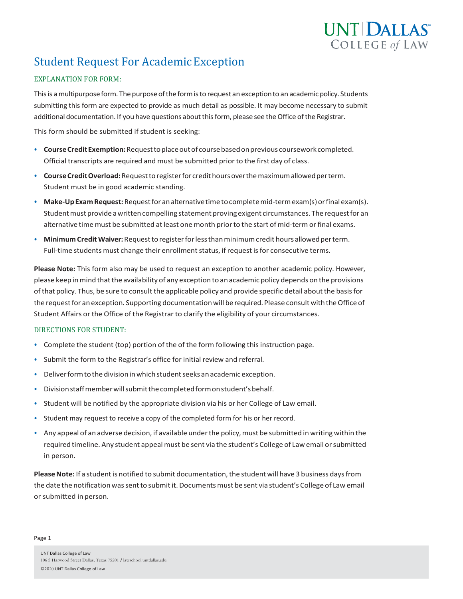

# **Student Request For Academic Exception**

## EXPLANATION FOR FORM:

This is a multipurpose form. The purpose of the form is to request an exception to an academic policy. Students submitting this form are expected to provide as much detail as possible. It may become necessary to submit additional documentation. If you have questions about this form, please see the Office of the Registrar.

This form should be submitted if student is seeking:

- **CourseCreditExemption:**Requesttoplaceoutof coursebasedonprevious courseworkcompleted. Official transcripts are required and must be submitted prior to the first day of class.
- **CourseCreditOverload:**Requesttoregisterfor credithoursoverthemaximumallowedperterm. Student must be in good academic standing.
- Make-Up Exam Request: Request for an alternative time to complete mid-term exam(s) or final exam(s). Student must provide a written compelling statement proving exigent circumstances. The request for an alternative time must be submitted at least one month prior to the start of mid-term or final exams.
- **Minimum Credit Waiver:** Request to register for less than minimum credit hours allowed per term. Full-time students must change their enrollment status, if request is for consecutive terms.

**Please Note:** This form also may be used to request an exception to another academic policy. However, please keep in mind that the availability of any exception to an academic policy depends on the provisions of that policy. Thus, be sure to consult the applicable policy and provide specific detail about the basis for the request for an exception. Supporting documentation will be required. Please consult with the Office of Student Affairs or the Office of the Registrar to clarify the eligibility of your circumstances.

### DIRECTIONS FOR STUDENT:

- Complete the student (top) portion of the of the form following this instruction page.
- Submit the form to the Registrar's office for initial review and referral.
- Deliver form to the division in which student seeks an academic exception.
- Divisionstaffmemberwillsubmitthecompletedformonstudent'sbehalf.
- Student will be notified by the appropriate division via his or her College of Law email.
- Student may request to receive a copy of the completed form for his or her record.
- Any appeal of an adverse decision, if available under the policy, must be submitted in writing within the required timeline. Any student appeal must be sent via the student's College of Law email or submitted in person.

Please Note: If a student is notified to submit documentation, the student will have 3 business days from the date the notification was sent to submit it. Documents must be sent via student's College of Law email or submitted in person.

Page 1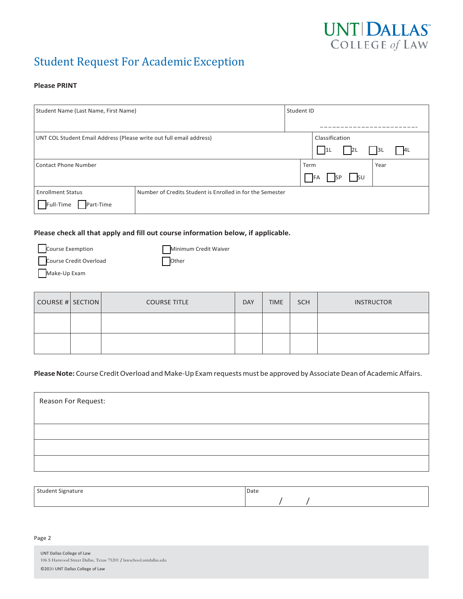

## **Student Request For Academic Exception**

#### **Please PRINT**

| Student Name (Last Name, First Name)                                |                                                           |  | Student ID                             |  |  |  |
|---------------------------------------------------------------------|-----------------------------------------------------------|--|----------------------------------------|--|--|--|
|                                                                     |                                                           |  |                                        |  |  |  |
| UNT COL Student Email Address (Please write out full email address) |                                                           |  | Classification                         |  |  |  |
|                                                                     |                                                           |  | 2L<br>1L<br> 3L <br>4L                 |  |  |  |
| Contact Phone Number                                                |                                                           |  | Term<br>Year                           |  |  |  |
|                                                                     |                                                           |  | $\vert$ su<br><b>IFA</b><br><b>ISP</b> |  |  |  |
| <b>Enrollment Status</b>                                            | Number of Credits Student is Enrolled in for the Semester |  |                                        |  |  |  |
| Full-Time<br>Part-Time                                              |                                                           |  |                                        |  |  |  |

## **Please check all that apply and fill out course information below, if applicable.**

| Course Exemption       | Minimum Credit Waiver |
|------------------------|-----------------------|
| Course Credit Overload | Other                 |
| Make-Up Exam           |                       |

| COURSE # SECTION | <b>COURSE TITLE</b> | <b>DAY</b> | <b>TIME</b> | <b>SCH</b> | <b>INSTRUCTOR</b> |
|------------------|---------------------|------------|-------------|------------|-------------------|
|                  |                     |            |             |            |                   |
|                  |                     |            |             |            |                   |

## Please Note: Course Credit Overload and Make-Up Exam requests must be approved by Associate Dean of Academic Affairs.

| Reason For Request: |  |
|---------------------|--|
|                     |  |
|                     |  |
|                     |  |
|                     |  |

| Student Signature<br>$  -$<br>ـ - | Date |
|-----------------------------------|------|
|                                   |      |

#### Page 2

| <b>UNT Dallas College of Law</b>                                   |
|--------------------------------------------------------------------|
| 106 S Harwood Street Dallas, Texas 75201 / lawschool.untdallas.edu |
| ©2020 UNT Dallas College of Law                                    |